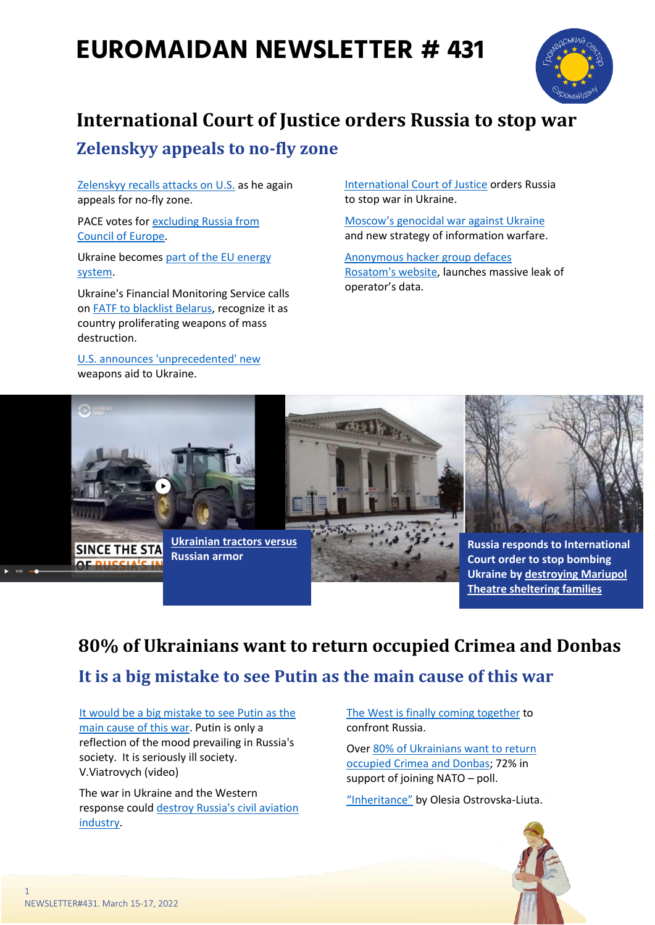# **EUROMAIDAN NEWSLETTER # 431**



# **International Court of Justice orders Russia to stop war**

## **Zelenskyy appeals to no-fly zone**

[Zelenskyy recalls attacks on U.S.](https://www.rferl.org/a/zelenskiy-congress-address-no-fly-zone/31756271.html) as he again appeals for no-fly zone.

PACE votes fo[r excluding Russia from](https://www.ukrinform.net/rubric-polytics/3430826-pace-votes-for-excluding-russia-from-council-of-europe.html)  [Council of Europe.](https://www.ukrinform.net/rubric-polytics/3430826-pace-votes-for-excluding-russia-from-council-of-europe.html)

Ukraine become[s part of the EU energy](https://www.pravda.com.ua/eng/news/2022/03/16/7331911/)  [system.](https://www.pravda.com.ua/eng/news/2022/03/16/7331911/)

Ukraine's Financial Monitoring Service calls o[n FATF to blacklist Belarus,](https://en.interfax.com.ua/news/general/814103.html) recognize it as country proliferating weapons of mass destruction.

[U.S. announces 'unprecedented' new](https://www.rferl.org/a/us-ukraine-unprecedented-support-weapons/31756577.html) weapons aid to Ukraine.

[International Court of Justice](https://euromaidanpress.com/2022/03/17/international-court-of-justice-orders-russia-to-stop-war-in-ukraine/) orders Russia to stop war in Ukraine.

[Moscow's genocidal war against Ukraine](https://euromaidanpress.com/2022/03/16/moscows-genocidal-war-against-ukraine-and-new-strategy-of-information-warfare/) and new strategy of information warfare.

[Anonymous hacker group defaces](https://www.ukrinform.net/rubric-ato/3431056-anonymous-hacker-group-defaces-rosatoms-website-launches-massive-leak-of-operators-data.html)  [Rosatom's website,](https://www.ukrinform.net/rubric-ato/3431056-anonymous-hacker-group-defaces-rosatoms-website-launches-massive-leak-of-operators-data.html) launches massive leak of operator's data.



# **80% of Ukrainians want to return occupied Crimea and Donbas**

## **It is a big mistake to see Putin as the main cause of this war**

[It would be a big mistake to see Putin as the](https://www.facebook.com/volodymyr.viatrovych/posts/10220981125017327)  [main cause of this war.](https://www.facebook.com/volodymyr.viatrovych/posts/10220981125017327) Putin is only a reflection of the mood prevailing in Russia's society. It is seriously ill society. V.Viatrovych (video)

The war in Ukraine and the Western response could [destroy Russia's civil aviation](https://www.rferl.org/a/russia-civil-aviation-collapse-sukhoi-superjet-100-ms21-putin/31756607.html)  [industry.](https://www.rferl.org/a/russia-civil-aviation-collapse-sukhoi-superjet-100-ms21-putin/31756607.html)

[The West is finally coming together](https://euromaidanpress.com/2022/03/16/the-west-is-finally-coming-together-to-confront-russia/) to confront Russia.

Over [80% of Ukrainians want to return](https://euromaidanpress.com/2022/03/16/over-80-of-ukrainians-want-to-return-occupied-crimea-and-donbas-72-in-support-of-joining-nato-poll/)  [occupied Crimea and Donbas;](https://euromaidanpress.com/2022/03/16/over-80-of-ukrainians-want-to-return-occupied-crimea-and-donbas-72-in-support-of-joining-nato-poll/) 72% in support of joining NATO – poll.

["Inheritance"](https://uacrisis.org/en/inheritance-by-olesia-ostrovska-liuta) by Olesia Ostrovska-Liuta.